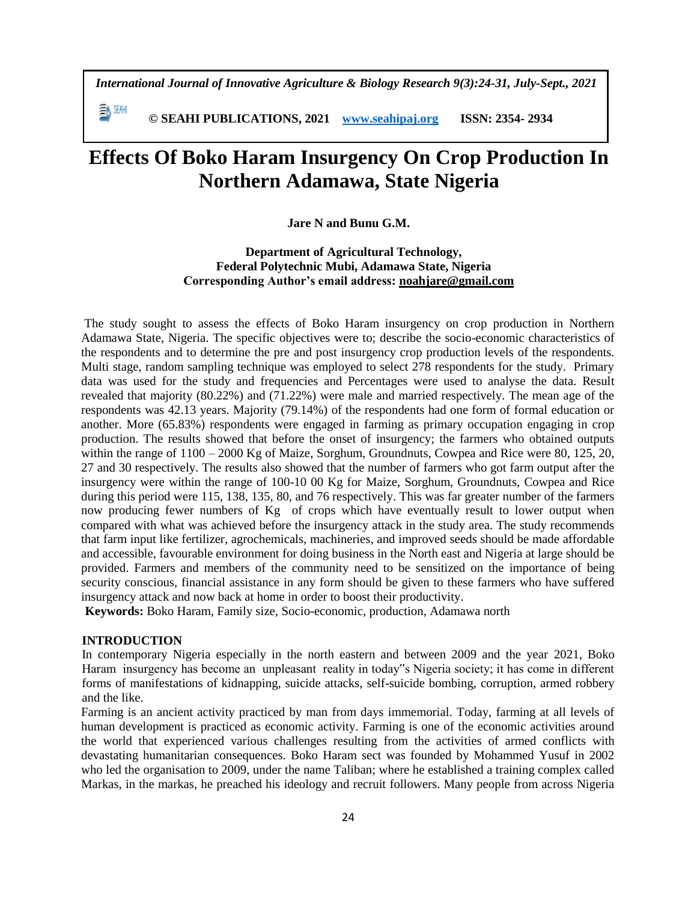*International Journal of Innovative Agriculture & Biology Research 9(3):24-31, July-Sept., 2021*

手M SEMH  **© SEAHI PUBLICATIONS, 2021 [www.seahipaj.org](http://www.seahipaj.org/) ISSN: 2354- 2934**

# **Effects Of Boko Haram Insurgency On Crop Production In Northern Adamawa, State Nigeria**

## **Jare N and Bunu G.M.**

**Department of Agricultural Technology, Federal Polytechnic Mubi, Adamawa State, Nigeria Corresponding Author's email address: noahjare@gmail.com**

The study sought to assess the effects of Boko Haram insurgency on crop production in Northern Adamawa State, Nigeria. The specific objectives were to; describe the socio-economic characteristics of the respondents and to determine the pre and post insurgency crop production levels of the respondents. Multi stage, random sampling technique was employed to select 278 respondents for the study. Primary data was used for the study and frequencies and Percentages were used to analyse the data. Result revealed that majority (80.22%) and (71.22%) were male and married respectively. The mean age of the respondents was 42.13 years. Majority (79.14%) of the respondents had one form of formal education or another. More (65.83%) respondents were engaged in farming as primary occupation engaging in crop production. The results showed that before the onset of insurgency; the farmers who obtained outputs within the range of  $1100 - 2000$  Kg of Maize, Sorghum, Groundnuts, Cowpea and Rice were 80, 125, 20, 27 and 30 respectively. The results also showed that the number of farmers who got farm output after the insurgency were within the range of 100-10 00 Kg for Maize, Sorghum, Groundnuts, Cowpea and Rice during this period were 115, 138, 135, 80, and 76 respectively. This was far greater number of the farmers now producing fewer numbers of Kg of crops which have eventually result to lower output when compared with what was achieved before the insurgency attack in the study area. The study recommends that farm input like fertilizer, agrochemicals, machineries, and improved seeds should be made affordable and accessible, favourable environment for doing business in the North east and Nigeria at large should be provided. Farmers and members of the community need to be sensitized on the importance of being security conscious, financial assistance in any form should be given to these farmers who have suffered insurgency attack and now back at home in order to boost their productivity.

**Keywords:** Boko Haram, Family size, Socio-economic, production, Adamawa north

## **INTRODUCTION**

In contemporary Nigeria especially in the north eastern and between 2009 and the year 2021, Boko Haram insurgency has become an unpleasant reality in today"s Nigeria society; it has come in different forms of manifestations of kidnapping, suicide attacks, self-suicide bombing, corruption, armed robbery and the like.

Farming is an ancient activity practiced by man from days immemorial. Today, farming at all levels of human development is practiced as economic activity. Farming is one of the economic activities around the world that experienced various challenges resulting from the activities of armed conflicts with devastating humanitarian consequences. Boko Haram sect was founded by Mohammed Yusuf in 2002 who led the organisation to 2009, under the name Taliban; where he established a training complex called Markas, in the markas, he preached his ideology and recruit followers. Many people from across Nigeria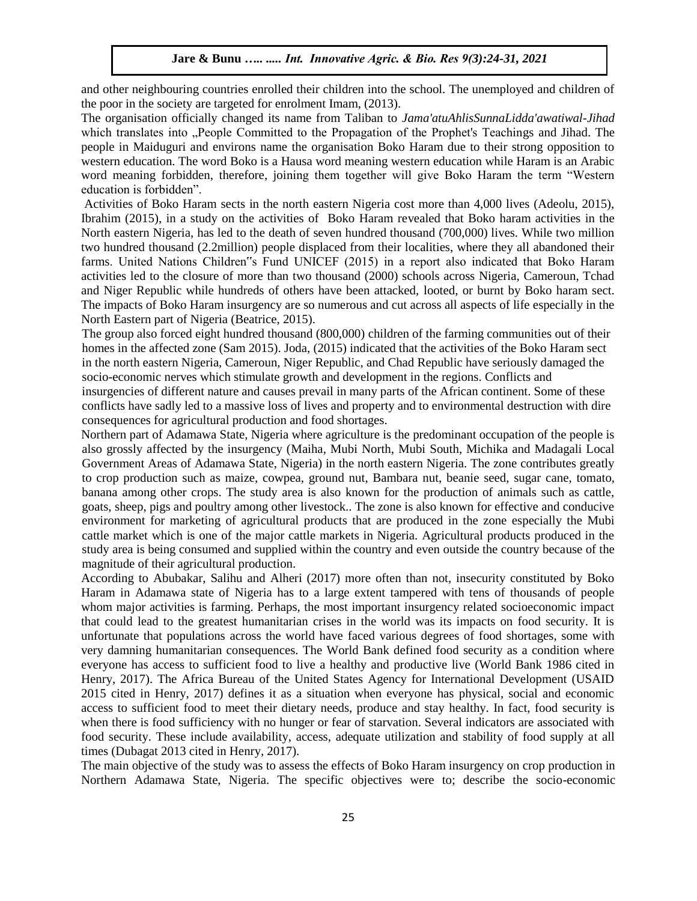and other neighbouring countries enrolled their children into the school. The unemployed and children of the poor in the society are targeted for enrolment Imam, (2013).

The organisation officially changed its name from Taliban to *Jama'atuAhlisSunnaLidda'awatiwal-Jihad* which translates into "People Committed to the Propagation of the Prophet's Teachings and Jihad. The people in Maiduguri and environs name the organisation Boko Haram due to their strong opposition to western education. The word Boko is a Hausa word meaning western education while Haram is an Arabic word meaning forbidden, therefore, joining them together will give Boko Haram the term "Western education is forbidden".

Activities of Boko Haram sects in the north eastern Nigeria cost more than 4,000 lives (Adeolu, 2015), Ibrahim (2015), in a study on the activities of Boko Haram revealed that Boko haram activities in the North eastern Nigeria, has led to the death of seven hundred thousand (700,000) lives. While two million two hundred thousand (2.2million) people displaced from their localities, where they all abandoned their farms. United Nations Children"s Fund UNICEF (2015) in a report also indicated that Boko Haram activities led to the closure of more than two thousand (2000) schools across Nigeria, Cameroun, Tchad and Niger Republic while hundreds of others have been attacked, looted, or burnt by Boko haram sect. The impacts of Boko Haram insurgency are so numerous and cut across all aspects of life especially in the North Eastern part of Nigeria (Beatrice, 2015).

The group also forced eight hundred thousand (800,000) children of the farming communities out of their homes in the affected zone (Sam 2015). Joda, (2015) indicated that the activities of the Boko Haram sect in the north eastern Nigeria, Cameroun, Niger Republic, and Chad Republic have seriously damaged the socio-economic nerves which stimulate growth and development in the regions. Conflicts and

insurgencies of different nature and causes prevail in many parts of the African continent. Some of these conflicts have sadly led to a massive loss of lives and property and to environmental destruction with dire consequences for agricultural production and food shortages.

Northern part of Adamawa State, Nigeria where agriculture is the predominant occupation of the people is also grossly affected by the insurgency (Maiha, Mubi North, Mubi South, Michika and Madagali Local Government Areas of Adamawa State, Nigeria) in the north eastern Nigeria. The zone contributes greatly to crop production such as maize, cowpea, ground nut, Bambara nut, beanie seed, sugar cane, tomato, banana among other crops. The study area is also known for the production of animals such as cattle, goats, sheep, pigs and poultry among other livestock.. The zone is also known for effective and conducive environment for marketing of agricultural products that are produced in the zone especially the Mubi cattle market which is one of the major cattle markets in Nigeria. Agricultural products produced in the study area is being consumed and supplied within the country and even outside the country because of the magnitude of their agricultural production.

According to Abubakar, Salihu and Alheri (2017) more often than not, insecurity constituted by Boko Haram in Adamawa state of Nigeria has to a large extent tampered with tens of thousands of people whom major activities is farming. Perhaps, the most important insurgency related socioeconomic impact that could lead to the greatest humanitarian crises in the world was its impacts on food security. It is unfortunate that populations across the world have faced various degrees of food shortages, some with very damning humanitarian consequences. The World Bank defined food security as a condition where everyone has access to sufficient food to live a healthy and productive live (World Bank 1986 cited in Henry, 2017). The Africa Bureau of the United States Agency for International Development (USAID 2015 cited in Henry, 2017) defines it as a situation when everyone has physical, social and economic access to sufficient food to meet their dietary needs, produce and stay healthy. In fact, food security is when there is food sufficiency with no hunger or fear of starvation. Several indicators are associated with food security. These include availability, access, adequate utilization and stability of food supply at all times (Dubagat 2013 cited in Henry, 2017).

The main objective of the study was to assess the effects of Boko Haram insurgency on crop production in Northern Adamawa State, Nigeria. The specific objectives were to; describe the socio-economic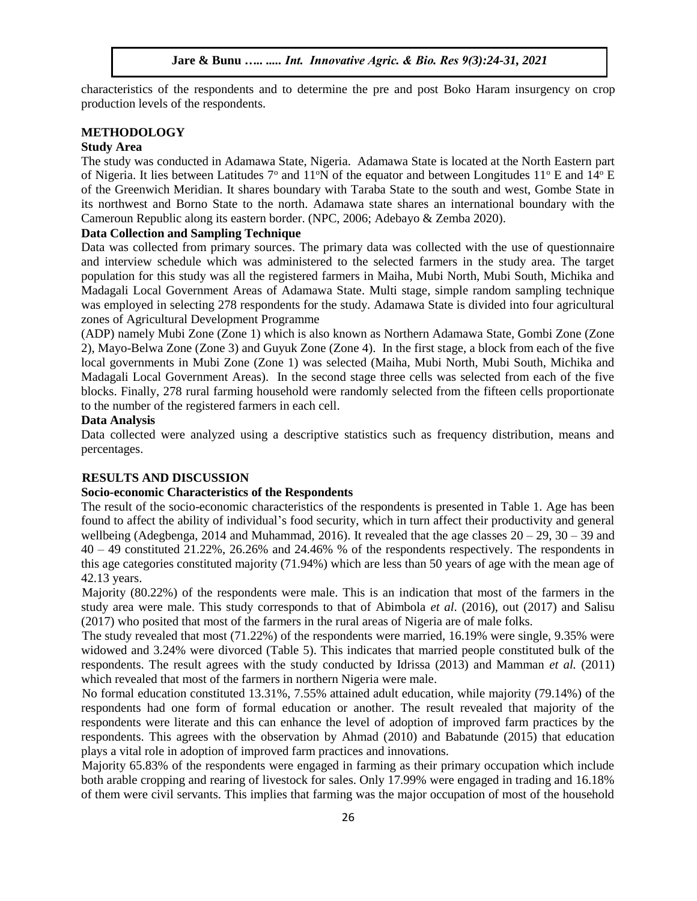characteristics of the respondents and to determine the pre and post Boko Haram insurgency on crop production levels of the respondents.

## **METHODOLOGY**

# **Study Area**

The study was conducted in Adamawa State, Nigeria. Adamawa State is located at the North Eastern part of Nigeria. It lies between Latitudes  $7^{\circ}$  and  $11^{\circ}N$  of the equator and between Longitudes  $11^{\circ}$  E and  $14^{\circ}$  E of the Greenwich Meridian. It shares boundary with Taraba State to the south and west, Gombe State in its northwest and Borno State to the north. Adamawa state shares an international boundary with the Cameroun Republic along its eastern border. (NPC, 2006; Adebayo & Zemba 2020).

# **Data Collection and Sampling Technique**

Data was collected from primary sources. The primary data was collected with the use of questionnaire and interview schedule which was administered to the selected farmers in the study area. The target population for this study was all the registered farmers in Maiha, Mubi North, Mubi South, Michika and Madagali Local Government Areas of Adamawa State. Multi stage, simple random sampling technique was employed in selecting 278 respondents for the study. Adamawa State is divided into four agricultural zones of Agricultural Development Programme

(ADP) namely Mubi Zone (Zone 1) which is also known as Northern Adamawa State, Gombi Zone (Zone 2), Mayo-Belwa Zone (Zone 3) and Guyuk Zone (Zone 4). In the first stage, a block from each of the five local governments in Mubi Zone (Zone 1) was selected (Maiha, Mubi North, Mubi South, Michika and Madagali Local Government Areas). In the second stage three cells was selected from each of the five blocks. Finally, 278 rural farming household were randomly selected from the fifteen cells proportionate to the number of the registered farmers in each cell.

# **Data Analysis**

Data collected were analyzed using a descriptive statistics such as frequency distribution, means and percentages.

# **RESULTS AND DISCUSSION**

## **Socio-economic Characteristics of the Respondents**

The result of the socio-economic characteristics of the respondents is presented in Table 1. Age has been found to affect the ability of individual's food security, which in turn affect their productivity and general wellbeing (Adegbenga, 2014 and Muhammad, 2016). It revealed that the age classes  $20 - 29$ ,  $30 - 39$  and 40 – 49 constituted 21.22%, 26.26% and 24.46% % of the respondents respectively. The respondents in this age categories constituted majority (71.94%) which are less than 50 years of age with the mean age of 42.13 years.

Majority (80.22%) of the respondents were male. This is an indication that most of the farmers in the study area were male. This study corresponds to that of Abimbola *et al*. (2016), out (2017) and Salisu (2017) who posited that most of the farmers in the rural areas of Nigeria are of male folks.

The study revealed that most (71.22%) of the respondents were married, 16.19% were single, 9.35% were widowed and 3.24% were divorced (Table 5). This indicates that married people constituted bulk of the respondents. The result agrees with the study conducted by Idrissa (2013) and Mamman *et al.* (2011) which revealed that most of the farmers in northern Nigeria were male.

No formal education constituted 13.31%, 7.55% attained adult education, while majority (79.14%) of the respondents had one form of formal education or another. The result revealed that majority of the respondents were literate and this can enhance the level of adoption of improved farm practices by the respondents. This agrees with the observation by Ahmad (2010) and Babatunde (2015) that education plays a vital role in adoption of improved farm practices and innovations.

Majority 65.83% of the respondents were engaged in farming as their primary occupation which include both arable cropping and rearing of livestock for sales. Only 17.99% were engaged in trading and 16.18% of them were civil servants. This implies that farming was the major occupation of most of the household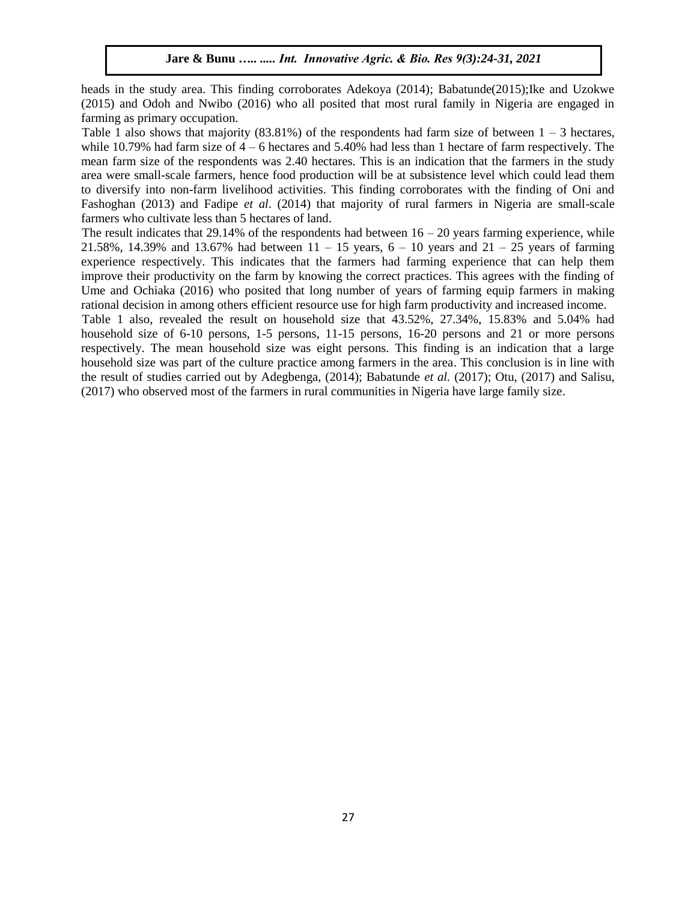heads in the study area. This finding corroborates Adekoya (2014); Babatunde(2015);Ike and Uzokwe (2015) and Odoh and Nwibo (2016) who all posited that most rural family in Nigeria are engaged in farming as primary occupation.

Table 1 also shows that majority  $(83.81\%)$  of the respondents had farm size of between  $1 - 3$  hectares, while 10.79% had farm size of  $4 - 6$  hectares and 5.40% had less than 1 hectare of farm respectively. The mean farm size of the respondents was 2.40 hectares. This is an indication that the farmers in the study area were small-scale farmers, hence food production will be at subsistence level which could lead them to diversify into non-farm livelihood activities. This finding corroborates with the finding of Oni and Fashoghan (2013) and Fadipe *et al*. (2014) that majority of rural farmers in Nigeria are small-scale farmers who cultivate less than 5 hectares of land.

The result indicates that 29.14% of the respondents had between  $16 - 20$  years farming experience, while 21.58%, 14.39% and 13.67% had between  $11 - 15$  years,  $6 - 10$  years and  $21 - 25$  years of farming experience respectively. This indicates that the farmers had farming experience that can help them improve their productivity on the farm by knowing the correct practices. This agrees with the finding of Ume and Ochiaka (2016) who posited that long number of years of farming equip farmers in making rational decision in among others efficient resource use for high farm productivity and increased income.

Table 1 also, revealed the result on household size that 43.52%, 27.34%, 15.83% and 5.04% had household size of 6-10 persons, 1-5 persons, 11-15 persons, 16-20 persons and 21 or more persons respectively. The mean household size was eight persons. This finding is an indication that a large household size was part of the culture practice among farmers in the area. This conclusion is in line with the result of studies carried out by Adegbenga, (2014); Babatunde *et al.* (2017); Otu, (2017) and Salisu, (2017) who observed most of the farmers in rural communities in Nigeria have large family size.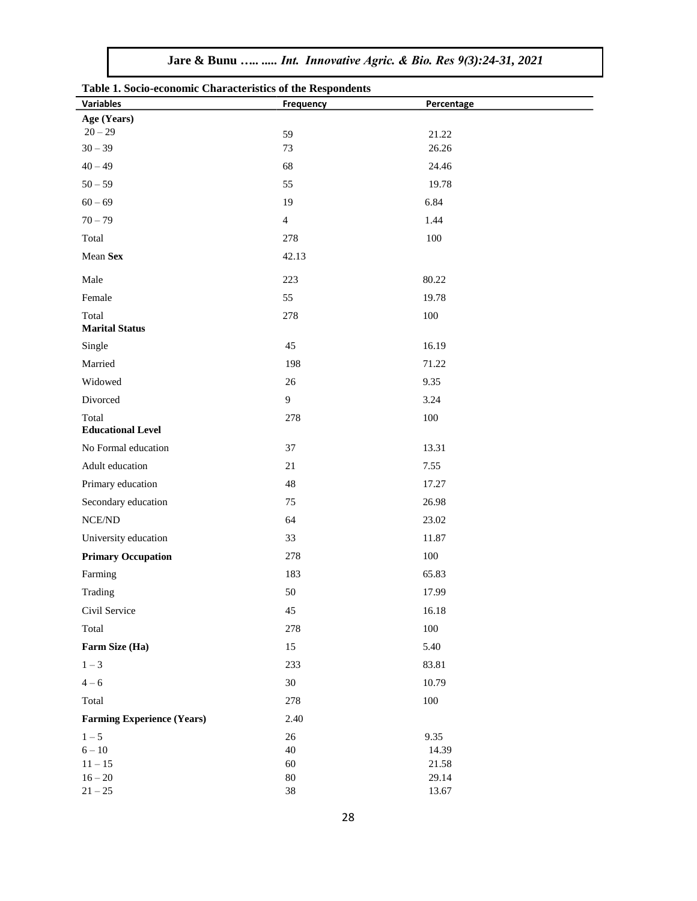| Jare & Bunu   Int. Innovative Agric. & Bio. Res 9(3):24-31, 2021 |  |
|------------------------------------------------------------------|--|
|                                                                  |  |

| Table 1. Socio-economic Characteristics of the Respondents |                  |                |  |
|------------------------------------------------------------|------------------|----------------|--|
| <b>Variables</b>                                           | <b>Frequency</b> | Percentage     |  |
| Age (Years)<br>$20 - 29$                                   |                  |                |  |
| $30 - 39$                                                  | 59<br>73         | 21.22<br>26.26 |  |
| $40 - 49$                                                  | 68               | 24.46          |  |
| $50 - 59$                                                  | 55               | 19.78          |  |
| $60 - 69$                                                  | 19               | 6.84           |  |
| $70 - 79$                                                  | $\overline{4}$   | 1.44           |  |
| Total                                                      | 278              | 100            |  |
| Mean Sex                                                   | 42.13            |                |  |
|                                                            |                  |                |  |
| Male                                                       | 223              | 80.22          |  |
| Female                                                     | 55               | 19.78          |  |
| Total<br><b>Marital Status</b>                             | 278              | 100            |  |
| Single                                                     | 45               | 16.19          |  |
| Married                                                    | 198              | 71.22          |  |
| Widowed                                                    | 26               | 9.35           |  |
| Divorced                                                   | 9                | 3.24           |  |
| Total<br><b>Educational Level</b>                          | 278              | 100            |  |
| No Formal education                                        | 37               | 13.31          |  |
| Adult education                                            | 21               | 7.55           |  |
| Primary education                                          | $48\,$           | 17.27          |  |
| Secondary education                                        | 75               | 26.98          |  |
| $NCE/ND$                                                   | 64               | 23.02          |  |
| University education                                       | 33               | 11.87          |  |
| <b>Primary Occupation</b>                                  | 278              | 100            |  |
| Farming                                                    | 183              | 65.83          |  |
| Trading                                                    | 50               | 17.99          |  |
| Civil Service                                              | 45               | 16.18          |  |
| Total                                                      | 278              | 100            |  |
| Farm Size (Ha)                                             | 15               | 5.40           |  |
| $1 - 3$                                                    | 233              | 83.81          |  |
| $4 - 6$                                                    | 30               | 10.79          |  |
| Total                                                      | 278              | 100            |  |
| <b>Farming Experience (Years)</b>                          | 2.40             |                |  |
| $1 - 5$                                                    | 26               | 9.35           |  |
| $6 - 10$                                                   | 40               | 14.39          |  |
| $11 - 15$                                                  | 60               | 21.58          |  |
| $16 - 20$                                                  | 80               | 29.14          |  |
| $21 - 25$                                                  | 38               | 13.67          |  |

**Table 1. Socio-economic Characteristics of the Respondents**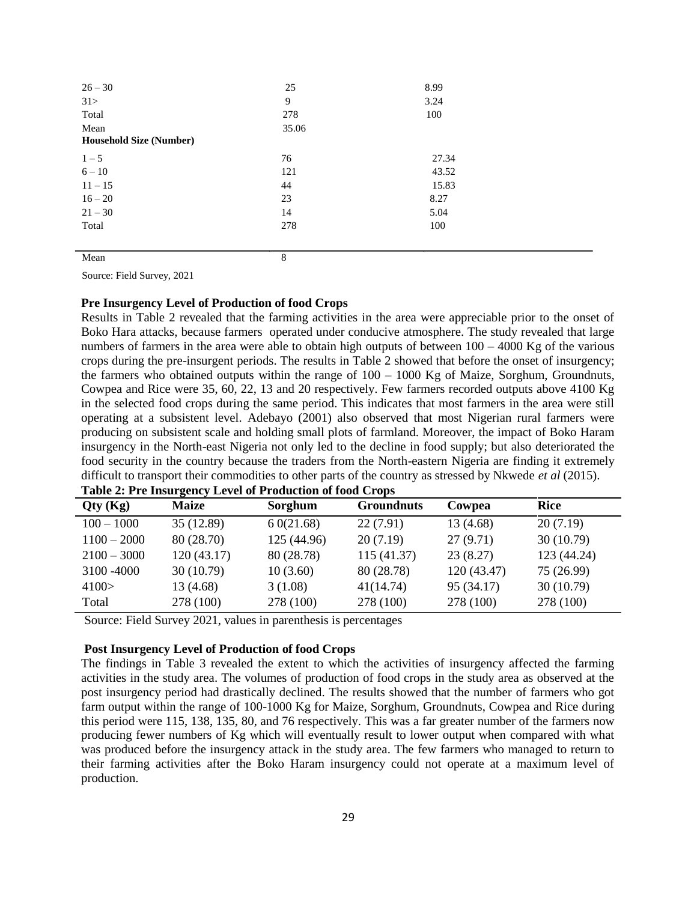| $26 - 30$                      | 25    | 8.99  |  |
|--------------------------------|-------|-------|--|
| 31>                            | 9     | 3.24  |  |
| Total                          | 278   | 100   |  |
| Mean                           | 35.06 |       |  |
| <b>Household Size (Number)</b> |       |       |  |
| $1 - 5$                        | 76    | 27.34 |  |
| $6 - 10$                       | 121   | 43.52 |  |
| $11 - 15$                      | 44    | 15.83 |  |
| $16 - 20$                      | 23    | 8.27  |  |
| $21 - 30$                      | 14    | 5.04  |  |
| Total                          | 278   | 100   |  |
|                                |       |       |  |
| Mean                           | 8     |       |  |

Source: Field Survey, 2021

#### **Pre Insurgency Level of Production of food Crops**

Results in Table 2 revealed that the farming activities in the area were appreciable prior to the onset of Boko Hara attacks, because farmers operated under conducive atmosphere. The study revealed that large numbers of farmers in the area were able to obtain high outputs of between  $100 - 4000$  Kg of the various crops during the pre-insurgent periods. The results in Table 2 showed that before the onset of insurgency; the farmers who obtained outputs within the range of 100 – 1000 Kg of Maize, Sorghum, Groundnuts, Cowpea and Rice were 35, 60, 22, 13 and 20 respectively. Few farmers recorded outputs above 4100 Kg in the selected food crops during the same period. This indicates that most farmers in the area were still operating at a subsistent level. Adebayo (2001) also observed that most Nigerian rural farmers were producing on subsistent scale and holding small plots of farmland. Moreover, the impact of Boko Haram insurgency in the North-east Nigeria not only led to the decline in food supply; but also deteriorated the food security in the country because the traders from the North-eastern Nigeria are finding it extremely difficult to transport their commodities to other parts of the country as stressed by Nkwede *et al* (2015).

| Qty(Kg)       | <b>Maize</b> | Sorghum     | <b>Groundnuts</b> | Cowpea      | <b>Rice</b> |
|---------------|--------------|-------------|-------------------|-------------|-------------|
| $100 - 1000$  | 35 (12.89)   | 60(21.68)   | 22(7.91)          | 13 (4.68)   | 20(7.19)    |
| $1100 - 2000$ | 80 (28.70)   | 125 (44.96) | 20(7.19)          | 27(9.71)    | 30(10.79)   |
| $2100 - 3000$ | 120(43.17)   | 80 (28.78)  | 115(41.37)        | 23(8.27)    | 123 (44.24) |
| 3100 - 4000   | 30(10.79)    | 10(3.60)    | 80 (28.78)        | 120 (43.47) | 75 (26.99)  |
| 4100 >        | 13(4.68)     | 3(1.08)     | 41(14.74)         | 95 (34.17)  | 30(10.79)   |
| Total         | 278 (100)    | 278 (100)   | 278 (100)         | 278 (100)   | 278 (100)   |

| Table 2: Pre Insurgency Level of Production of food Crops |  |  |  |
|-----------------------------------------------------------|--|--|--|
|                                                           |  |  |  |

Source: Field Survey 2021, values in parenthesis is percentages

## **Post Insurgency Level of Production of food Crops**

The findings in Table 3 revealed the extent to which the activities of insurgency affected the farming activities in the study area. The volumes of production of food crops in the study area as observed at the post insurgency period had drastically declined. The results showed that the number of farmers who got farm output within the range of 100-1000 Kg for Maize, Sorghum, Groundnuts, Cowpea and Rice during this period were 115, 138, 135, 80, and 76 respectively. This was a far greater number of the farmers now producing fewer numbers of Kg which will eventually result to lower output when compared with what was produced before the insurgency attack in the study area. The few farmers who managed to return to their farming activities after the Boko Haram insurgency could not operate at a maximum level of production.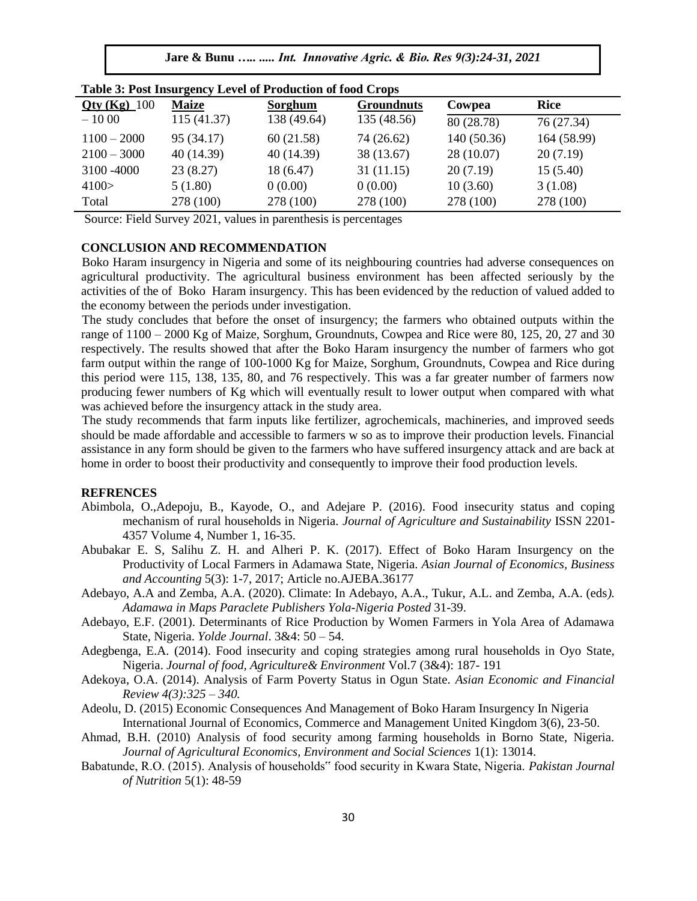**Jare & Bunu** *….. ..... Int. Innovative Agric. & Bio. Res 9(3):24-31, 2021*

| Table 5. I got mourgency Level of Frounchon of rood Crops |              |             |                   |            |             |  |
|-----------------------------------------------------------|--------------|-------------|-------------------|------------|-------------|--|
| $Qty (Kg)$ 100                                            | <b>Maize</b> | Sorghum     | <b>Groundnuts</b> | Cowpea     | <b>Rice</b> |  |
| $-1000$                                                   | 115(41.37)   | 138 (49.64) | 135 (48.56)       | 80 (28.78) | 76 (27.34)  |  |
| $1100 - 2000$                                             | 95 (34.17)   | 60(21.58)   | 74 (26.62)        | 140(50.36) | 164 (58.99) |  |
| $2100 - 3000$                                             | 40 (14.39)   | 40(14.39)   | 38 (13.67)        | 28 (10.07) | 20(7.19)    |  |
| 3100 - 4000                                               | 23(8.27)     | 18 (6.47)   | 31(11.15)         | 20(7.19)   | 15(5.40)    |  |
| 4100 >                                                    | 5(1.80)      | 0(0.00)     | 0(0.00)           | 10(3.60)   | 3(1.08)     |  |
| Total                                                     | 278 (100)    | 278 (100)   | 278 (100)         | 278 (100)  | 278 (100)   |  |

**Table 3: Post Insurgency Level of Production of food Crops** 

Source: Field Survey 2021, values in parenthesis is percentages

# **CONCLUSION AND RECOMMENDATION**

Boko Haram insurgency in Nigeria and some of its neighbouring countries had adverse consequences on agricultural productivity. The agricultural business environment has been affected seriously by the activities of the of Boko Haram insurgency. This has been evidenced by the reduction of valued added to the economy between the periods under investigation.

The study concludes that before the onset of insurgency; the farmers who obtained outputs within the range of  $1100 - 2000$  Kg of Maize, Sorghum, Groundnuts, Cowpea and Rice were 80, 125, 20, 27 and 30 respectively. The results showed that after the Boko Haram insurgency the number of farmers who got farm output within the range of 100-1000 Kg for Maize, Sorghum, Groundnuts, Cowpea and Rice during this period were 115, 138, 135, 80, and 76 respectively. This was a far greater number of farmers now producing fewer numbers of Kg which will eventually result to lower output when compared with what was achieved before the insurgency attack in the study area.

The study recommends that farm inputs like fertilizer, agrochemicals, machineries, and improved seeds should be made affordable and accessible to farmers w so as to improve their production levels. Financial assistance in any form should be given to the farmers who have suffered insurgency attack and are back at home in order to boost their productivity and consequently to improve their food production levels.

#### **REFRENCES**

- Abimbola, O.,Adepoju, B., Kayode, O., and Adejare P. (2016). Food insecurity status and coping mechanism of rural households in Nigeria. *Journal of Agriculture and Sustainability* ISSN 2201- 4357 Volume 4, Number 1, 16-35.
- Abubakar E. S, Salihu Z. H. and Alheri P. K. (2017). Effect of Boko Haram Insurgency on the Productivity of Local Farmers in Adamawa State, Nigeria*. Asian Journal of Economics, Business and Accounting* 5(3): 1-7, 2017; Article no.AJEBA.36177
- Adebayo, A.A and Zemba, A.A. (2020). Climate: In Adebayo, A.A., Tukur, A.L. and Zemba, A.A. (eds*). Adamawa in Maps Paraclete Publishers Yola-Nigeria Posted* 31-39.
- Adebayo, E.F. (2001). Determinants of Rice Production by Women Farmers in Yola Area of Adamawa State, Nigeria. *Yolde Journal*. 3&4: 50 – 54.
- Adegbenga, E.A. (2014). Food insecurity and coping strategies among rural households in Oyo State, Nigeria. *Journal of food, Agriculture& Environment* Vol.7 (3&4): 187- 191
- Adekoya, O.A. (2014). Analysis of Farm Poverty Status in Ogun State. *Asian Economic and Financial Review 4(3):325 – 340.*
- Adeolu, D. (2015) Economic Consequences And Management of Boko Haram Insurgency In Nigeria International Journal of Economics, Commerce and Management United Kingdom 3(6), 23-50.
- Ahmad, B.H. (2010) Analysis of food security among farming households in Borno State, Nigeria. *Journal of Agricultural Economics, Environment and Social Sciences* 1(1): 13014.
- Babatunde, R.O. (2015). Analysis of households" food security in Kwara State, Nigeria. *Pakistan Journal of Nutrition* 5(1): 48-59